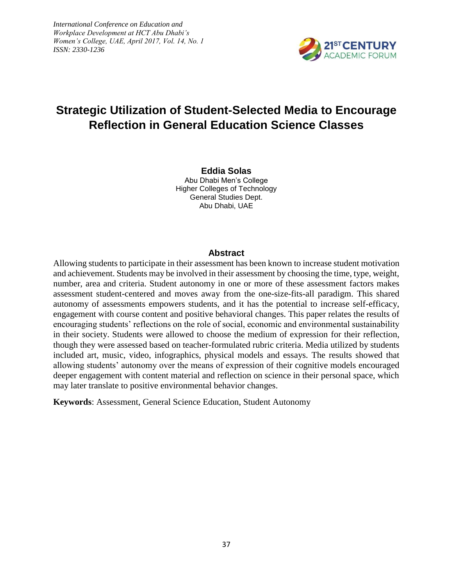*International Conference on Education and Workplace Development at HCT Abu Dhabi's Women's College, UAE, April 2017, Vol. 14, No. 1 ISSN: 2330-1236*



# *<u>Strategic Utilization of Student-Selected Media to Encourage*</u> **Reflection in General Education Science Classes**

**Eddia Solas** Abu Dhabi Men's College Higher Colleges of Technology General Studies Dept. Abu Dhabi, UAE

#### **Abstract**

Allowing students to participate in their assessment has been known to increase student motivation and achievement. Students may be involved in their assessment by choosing the time, type, weight, number, area and criteria. Student autonomy in one or more of these assessment factors makes assessment student-centered and moves away from the one-size-fits-all paradigm. This shared autonomy of assessments empowers students, and it has the potential to increase self-efficacy, engagement with course content and positive behavioral changes. This paper relates the results of encouraging students' reflections on the role of social, economic and environmental sustainability in their society. Students were allowed to choose the medium of expression for their reflection, though they were assessed based on teacher-formulated rubric criteria. Media utilized by students included art, music, video, infographics, physical models and essays. The results showed that allowing students' autonomy over the means of expression of their cognitive models encouraged deeper engagement with content material and reflection on science in their personal space, which may later translate to positive environmental behavior changes.

**Keywords**: Assessment, General Science Education, Student Autonomy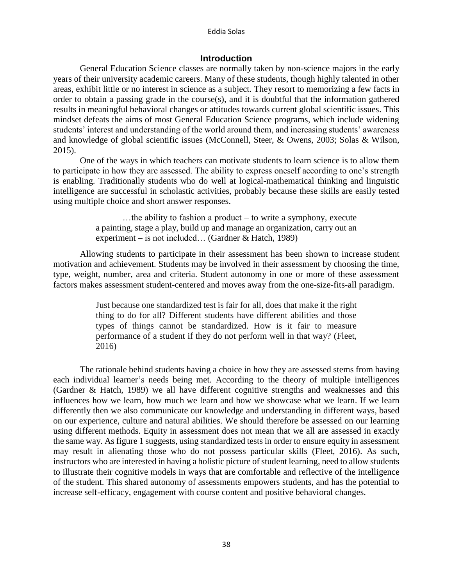#### Eddia Solas

# **Introduction**

General Education Science classes are normally taken by non-science majors in the early years of their university academic careers. Many of these students, though highly talented in other areas, exhibit little or no interest in science as a subject. They resort to memorizing a few facts in order to obtain a passing grade in the course(s), and it is doubtful that the information gathered results in meaningful behavioral changes or attitudes towards current global scientific issues. This mindset defeats the aims of most General Education Science programs, which include widening students' interest and understanding of the world around them, and increasing students' awareness and knowledge of global scientific issues (McConnell, Steer, & Owens, 2003; Solas & Wilson, 2015).

One of the ways in which teachers can motivate students to learn science is to allow them to participate in how they are assessed. The ability to express oneself according to one's strength is enabling. Traditionally students who do well at logical-mathematical thinking and linguistic intelligence are successful in scholastic activities, probably because these skills are easily tested using multiple choice and short answer responses.

> …the ability to fashion a product – to write a symphony, execute a painting, stage a play, build up and manage an organization, carry out an experiment – is not included… (Gardner & Hatch, 1989)

Allowing students to participate in their assessment has been shown to increase student motivation and achievement. Students may be involved in their assessment by choosing the time, type, weight, number, area and criteria. Student autonomy in one or more of these assessment factors makes assessment student-centered and moves away from the one-size-fits-all paradigm.

> Just because one standardized test is fair for all, does that make it the right thing to do for all? Different students have different abilities and those types of things cannot be standardized. How is it fair to measure performance of a student if they do not perform well in that way? (Fleet, 2016)

The rationale behind students having a choice in how they are assessed stems from having each individual learner's needs being met. According to the theory of multiple intelligences (Gardner & Hatch, 1989) we all have different cognitive strengths and weaknesses and this influences how we learn, how much we learn and how we showcase what we learn. If we learn differently then we also communicate our knowledge and understanding in different ways, based on our experience, culture and natural abilities. We should therefore be assessed on our learning using different methods. Equity in assessment does not mean that we all are assessed in exactly the same way. As figure 1 suggests, using standardized tests in order to ensure equity in assessment may result in alienating those who do not possess particular skills (Fleet, 2016). As such, instructors who are interested in having a holistic picture of student learning, need to allow students to illustrate their cognitive models in ways that are comfortable and reflective of the intelligence of the student. This shared autonomy of assessments empowers students, and has the potential to increase self-efficacy, engagement with course content and positive behavioral changes.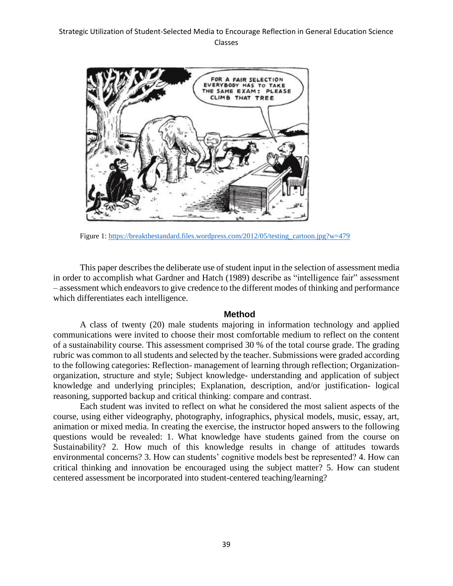

Figure 1: [https://breakthestandard.files.wordpress.com/2012/05/testing\\_cartoon.jpg?w=479](https://breakthestandard.files.wordpress.com/2012/05/testing_cartoon.jpg?w=479)

This paper describes the deliberate use of student input in the selection of assessment media in order to accomplish what Gardner and Hatch (1989) describe as "intelligence fair" assessment – assessment which endeavors to give credence to the different modes of thinking and performance which differentiates each intelligence.

# **Method**

A class of twenty (20) male students majoring in information technology and applied communications were invited to choose their most comfortable medium to reflect on the content of a sustainability course. This assessment comprised 30 % of the total course grade. The grading rubric was common to all students and selected by the teacher. Submissions were graded according to the following categories: Reflection- management of learning through reflection; Organizationorganization, structure and style; Subject knowledge- understanding and application of subject knowledge and underlying principles; Explanation, description, and/or justification- logical reasoning, supported backup and critical thinking: compare and contrast.

Each student was invited to reflect on what he considered the most salient aspects of the course, using either videography, photography, infographics, physical models, music, essay, art, animation or mixed media. In creating the exercise, the instructor hoped answers to the following questions would be revealed: 1. What knowledge have students gained from the course on Sustainability? 2. How much of this knowledge results in change of attitudes towards environmental concerns? 3. How can students' cognitive models best be represented? 4. How can critical thinking and innovation be encouraged using the subject matter? 5. How can student centered assessment be incorporated into student-centered teaching/learning?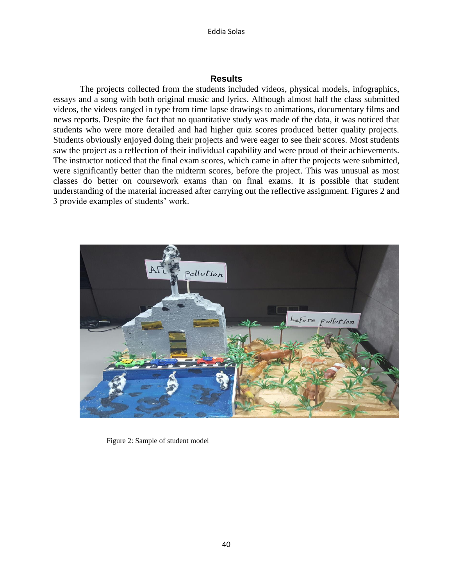#### Eddia Solas

## **Results**

The projects collected from the students included videos, physical models, infographics, essays and a song with both original music and lyrics. Although almost half the class submitted videos, the videos ranged in type from time lapse drawings to animations, documentary films and news reports. Despite the fact that no quantitative study was made of the data, it was noticed that students who were more detailed and had higher quiz scores produced better quality projects. Students obviously enjoyed doing their projects and were eager to see their scores. Most students saw the project as a reflection of their individual capability and were proud of their achievements. The instructor noticed that the final exam scores, which came in after the projects were submitted, were significantly better than the midterm scores, before the project. This was unusual as most classes do better on coursework exams than on final exams. It is possible that student understanding of the material increased after carrying out the reflective assignment. Figures 2 and 3 provide examples of students' work.



Figure 2: Sample of student model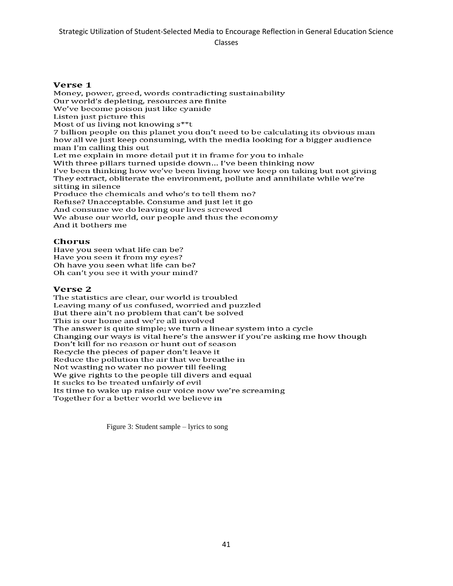Classes

#### Verse 1

Money, power, greed, words contradicting sustainability Our world's depleting, resources are finite We've become poison just like cyanide Listen just picture this Most of us living not knowing s\*\*t 7 billion people on this planet you don't need to be calculating its obvious man how all we just keep consuming, with the media looking for a bigger audience man I'm calling this out Let me explain in more detail put it in frame for you to inhale With three pillars turned upside down... I've been thinking now I've been thinking how we've been living how we keep on taking but not giving They extract, obliterate the environment, pollute and annihilate while we're sitting in silence Produce the chemicals and who's to tell them no? Refuse? Unacceptable. Consume and just let it go And consume we do leaving our lives screwed We abuse our world, our people and thus the economy And it bothers me

#### **Chorus**

Have you seen what life can be? Have you seen it from my eyes? Oh have you seen what life can be? Oh can't you see it with your mind?

### Verse<sub>2</sub>

The statistics are clear, our world is troubled Leaving many of us confused, worried and puzzled But there ain't no problem that can't be solved This is our home and we're all involved The answer is quite simple; we turn a linear system into a cycle Changing our ways is vital here's the answer if you're asking me how though Don't kill for no reason or hunt out of season Recycle the pieces of paper don't leave it Reduce the pollution the air that we breathe in Not wasting no water no power till feeling We give rights to the people till divers and equal It sucks to be treated unfairly of evil Its time to wake up raise our voice now we're screaming Together for a better world we believe in

Figure 3: Student sample – lyrics to song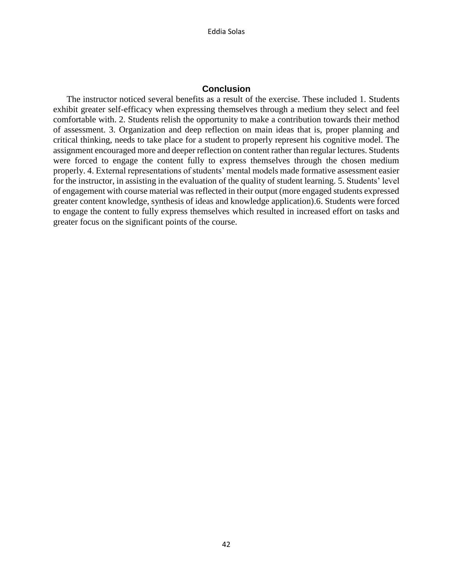# **Conclusion**

The instructor noticed several benefits as a result of the exercise. These included 1. Students exhibit greater self-efficacy when expressing themselves through a medium they select and feel comfortable with. 2. Students relish the opportunity to make a contribution towards their method of assessment. 3. Organization and deep reflection on main ideas that is, proper planning and critical thinking, needs to take place for a student to properly represent his cognitive model. The assignment encouraged more and deeper reflection on content rather than regular lectures. Students were forced to engage the content fully to express themselves through the chosen medium properly. 4. External representations of students' mental models made formative assessment easier for the instructor, in assisting in the evaluation of the quality of student learning. 5. Students' level of engagement with course material was reflected in their output (more engaged students expressed greater content knowledge, synthesis of ideas and knowledge application).6. Students were forced to engage the content to fully express themselves which resulted in increased effort on tasks and greater focus on the significant points of the course.